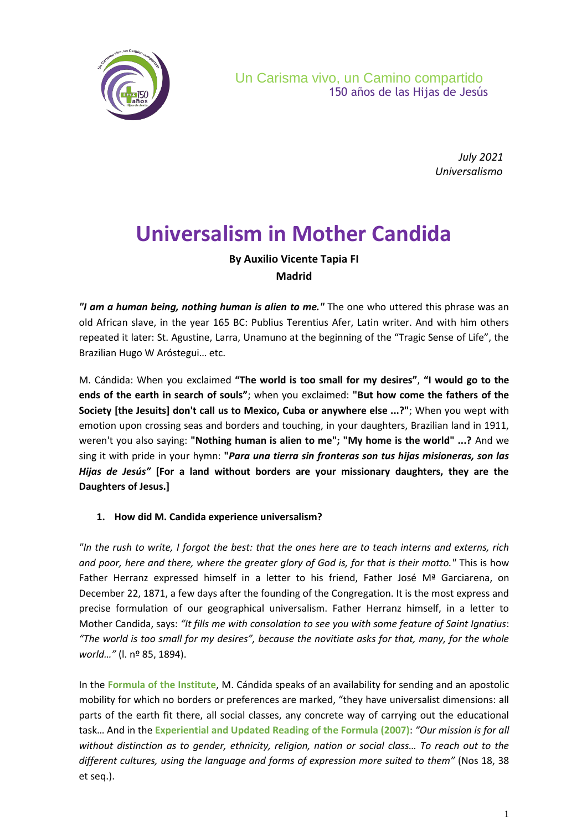

*July 2021 Universalismo*

# **Universalism in Mother Candida**

### **By Auxilio Vicente Tapia FI Madrid**

*"I am a human being, nothing human is alien to me."* The one who uttered this phrase was an old African slave, in the year 165 BC: Publius Terentius Afer, Latin writer. And with him others repeated it later: St. Agustine, Larra, Unamuno at the beginning of the "Tragic Sense of Life", the Brazilian Hugo W Aróstegui… etc.

M. Cándida: When you exclaimed **"The world is too small for my desires"**, **"I would go to the ends of the earth in search of souls"**; when you exclaimed: **"But how come the fathers of the Society [the Jesuits] don't call us to Mexico, Cuba or anywhere else ...?"**; When you wept with emotion upon crossing seas and borders and touching, in your daughters, Brazilian land in 1911, weren't you also saying: **"Nothing human is alien to me"; "My home is the world" ...?** And we sing it with pride in your hymn: **"***Para una tierra sin fronteras son tus hijas misioneras, son las Hijas de Jesús"* **[For a land without borders are your missionary daughters, they are the Daughters of Jesus.]**

#### **1. How did M. Candida experience universalism?**

*"In the rush to write, I forgot the best: that the ones here are to teach interns and externs, rich and poor, here and there, where the greater glory of God is, for that is their motto."* This is how Father Herranz expressed himself in a letter to his friend, Father José Mª Garciarena, on December 22, 1871, a few days after the founding of the Congregation. It is the most express and precise formulation of our geographical universalism. Father Herranz himself, in a letter to Mother Candida, says: *"It fills me with consolation to see you with some feature of Saint Ignatius*: *"The world is too small for my desires", because the novitiate asks for that, many, for the whole world…"* (l. nº 85, 1894).

In the **Formula of the Institute**, M. Cándida speaks of an availability for sending and an apostolic mobility for which no borders or preferences are marked, "they have universalist dimensions: all parts of the earth fit there, all social classes, any concrete way of carrying out the educational task… And in the **Experiential and Updated Reading of the Formula (2007)**: *"Our mission is for all without distinction as to gender, ethnicity, religion, nation or social class… To reach out to the different cultures, using the language and forms of expression more suited to them"* (Nos 18, 38 et seq.).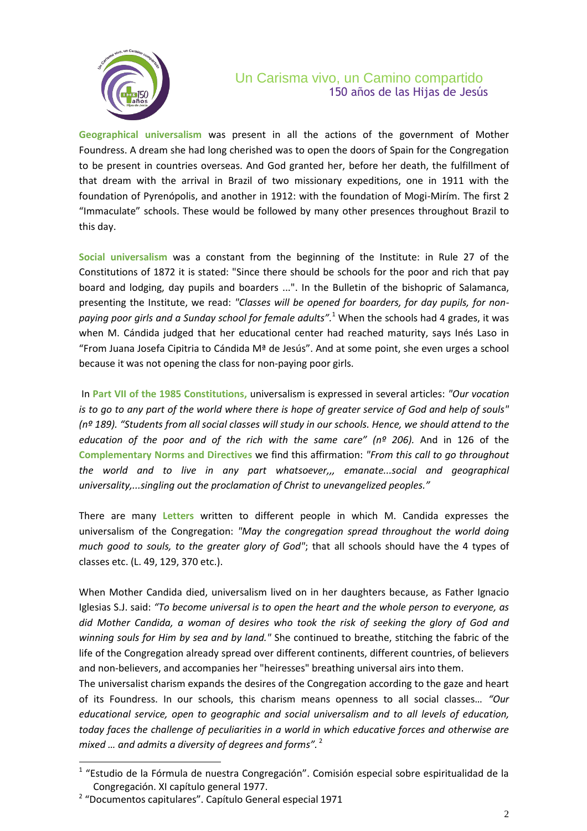

# Un Carisma vivo, un Camino compartido 150 años de las Hijas de Jesús

**Geographical universalism** was present in all the actions of the government of Mother Foundress. A dream she had long cherished was to open the doors of Spain for the Congregation to be present in countries overseas. And God granted her, before her death, the fulfillment of that dream with the arrival in Brazil of two missionary expeditions, one in 1911 with the foundation of Pyrenópolis, and another in 1912: with the foundation of Mogi-Mirím. The first 2 "Immaculate" schools. These would be followed by many other presences throughout Brazil to this day.

**Social universalism** was a constant from the beginning of the Institute: in Rule 27 of the Constitutions of 1872 it is stated: "Since there should be schools for the poor and rich that pay board and lodging, day pupils and boarders ...". In the Bulletin of the bishopric of Salamanca, presenting the Institute, we read: *"Classes will be opened for boarders, for day pupils, for nonpaying poor girls and a Sunday school for female adults".*<sup>1</sup> When the schools had 4 grades, it was when M. Cándida judged that her educational center had reached maturity, says Inés Laso in "From Juana Josefa Cipitria to Cándida  $M^{\underline{a}}$  de Jesús". And at some point, she even urges a school because it was not opening the class for non-paying poor girls.

In **Part VII of the 1985 Constitutions,** universalism is expressed in several articles: *"Our vocation is to go to any part of the world where there is hope of greater service of God and help of souls" (nº 189). "Students from all social classes will study in our schools. Hence, we should attend to the education of the poor and of the rich with the same care" (nº 206).* And in 126 of the **Complementary Norms and Directives** we find this affirmation: *"From this call to go throughout the world and to live in any part whatsoever,,, emanate...social and geographical universality,...singling out the proclamation of Christ to unevangelized peoples."*

There are many **Letters** written to different people in which M. Candida expresses the universalism of the Congregation: *"May the congregation spread throughout the world doing much good to souls, to the greater glory of God"*; that all schools should have the 4 types of classes etc. (L. 49, 129, 370 etc.).

When Mother Candida died, universalism lived on in her daughters because, as Father Ignacio Iglesias S.J. said: *"To become universal is to open the heart and the whole person to everyone, as did Mother Candida, a woman of desires who took the risk of seeking the glory of God and winning souls for Him by sea and by land."* She continued to breathe, stitching the fabric of the life of the Congregation already spread over different continents, different countries, of believers and non-believers, and accompanies her "heiresses" breathing universal airs into them.

The universalist charism expands the desires of the Congregation according to the gaze and heart of its Foundress. In our schools, this charism means openness to all social classes… *"Our educational service, open to geographic and social universalism and to all levels of education, today faces the challenge of peculiarities in a world in which educative forces and otherwise are mixed … and admits a diversity of degrees and forms".* <sup>2</sup>

l

<sup>&</sup>lt;sup>1</sup> "Estudio de la Fórmula de nuestra Congregación". Comisión especial sobre espiritualidad de la Congregación. XI capítulo general 1977.

<sup>&</sup>lt;sup>2</sup> "Documentos capitulares". Capítulo General especial 1971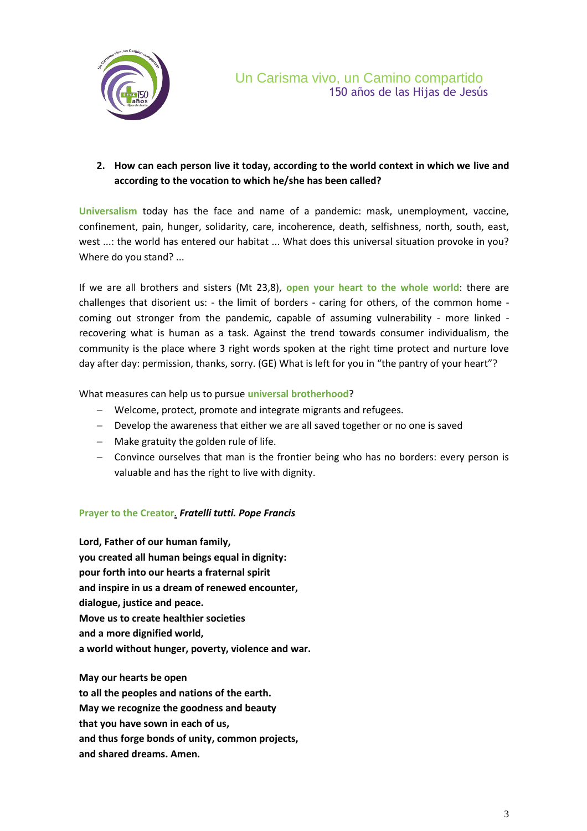

#### **2. How can each person live it today, according to the world context in which we live and according to the vocation to which he/she has been called?**

**Universalism** today has the face and name of a pandemic: mask, unemployment, vaccine, confinement, pain, hunger, solidarity, care, incoherence, death, selfishness, north, south, east, west ...: the world has entered our habitat ... What does this universal situation provoke in you? Where do you stand? ...

If we are all brothers and sisters (Mt 23,8), **open your heart to the whole world**: there are challenges that disorient us: - the limit of borders - caring for others, of the common home coming out stronger from the pandemic, capable of assuming vulnerability - more linked recovering what is human as a task. Against the trend towards consumer individualism, the community is the place where 3 right words spoken at the right time protect and nurture love day after day: permission, thanks, sorry. (GE) What is left for you in "the pantry of your heart"?

What measures can help us to pursue **universal brotherhood**?

- Welcome, protect, promote and integrate migrants and refugees.
- Develop the awareness that either we are all saved together or no one is saved
- $-$  Make gratuity the golden rule of life.
- Convince ourselves that man is the frontier being who has no borders: every person is valuable and has the right to live with dignity.

#### **Prayer to the Creator***. Fratelli tutti. Pope Francis*

**Lord, Father of our human family, you created all human beings equal in dignity: pour forth into our hearts a fraternal spirit and inspire in us a dream of renewed encounter, dialogue, justice and peace. Move us to create healthier societies and a more dignified world, a world without hunger, poverty, violence and war.**

**May our hearts be open to all the peoples and nations of the earth. May we recognize the goodness and beauty that you have sown in each of us, and thus forge bonds of unity, common projects, and shared dreams. Amen.**